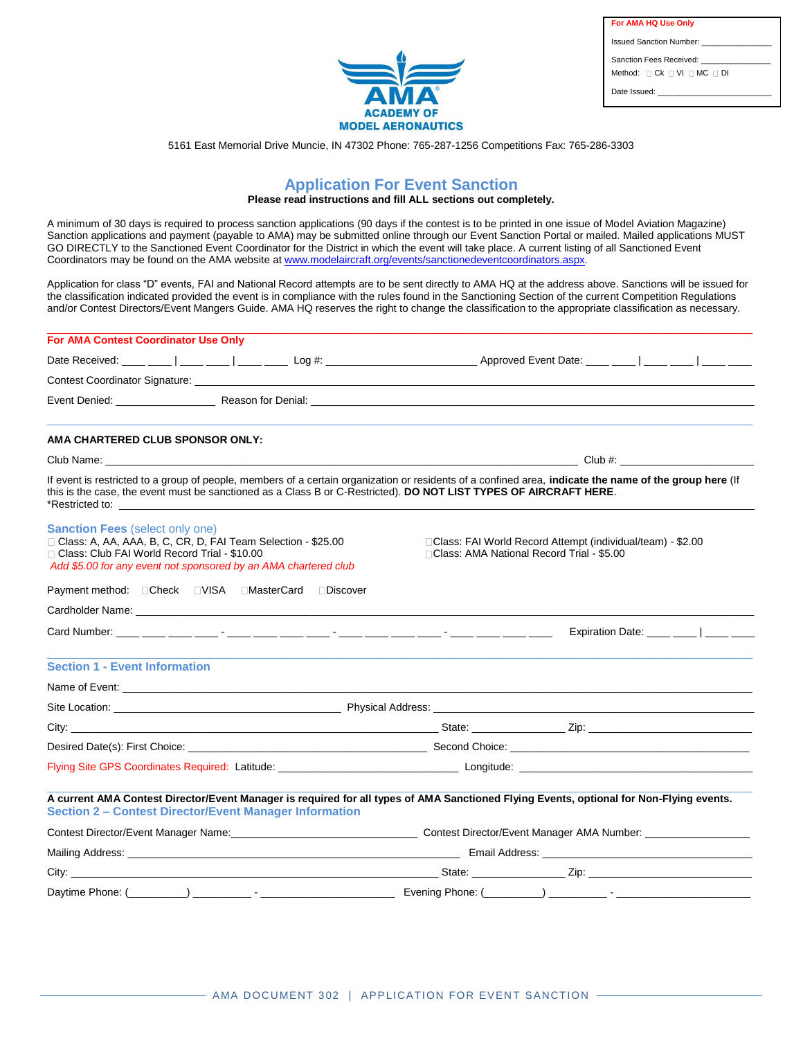| <b>ACADEMY OF</b><br><b>MODEL AERONAUTICS</b> |  |  |
|-----------------------------------------------|--|--|

| For AMA HQ Use Only                                                                        |
|--------------------------------------------------------------------------------------------|
| Issued Sanction Number:                                                                    |
| Sanction Fees Received:<br>Method: $\Box$ Ck $\Box$ VI $\Box$ MC $\Box$ DI<br>Date Issued: |
|                                                                                            |

5161 East Memorial Drive Muncie, IN 47302 Phone: 765-287-1256 Competitions Fax: 765-286-3303

# **Application For Event Sanction**

**Please read instructions and fill ALL sections out completely.**

A minimum of 30 days is required to process sanction applications (90 days if the contest is to be printed in one issue of Model Aviation Magazine) Sanction applications and payment (payable to AMA) may be submitted online through our Event Sanction Portal or mailed. Mailed applications MUST GO DIRECTLY to the Sanctioned Event Coordinator for the District in which the event will take place. A current listing of all Sanctioned Event Coordinators may be found on the AMA website at [www.modelaircraft.org/events/sanctionedeventcoordinators.aspx.](http://www.modelaircraft.org/events/sanctionedeventcoordinators.aspx)

Application for class "D" events, FAI and National Record attempts are to be sent directly to AMA HQ at the address above. Sanctions will be issued for the classification indicated provided the event is in compliance with the rules found in the Sanctioning Section of the current Competition Regulations and/or Contest Directors/Event Mangers Guide. AMA HQ reserves the right to change the classification to the appropriate classification as necessary.

| For AMA Contest Coordinator Use Only                                                                                                                                                                                                                                         |  |  |                                                                                                           |  |
|------------------------------------------------------------------------------------------------------------------------------------------------------------------------------------------------------------------------------------------------------------------------------|--|--|-----------------------------------------------------------------------------------------------------------|--|
|                                                                                                                                                                                                                                                                              |  |  |                                                                                                           |  |
| Contest Coordinator Signature: Note that the contest of the contest of the contest Coordinator Signature:                                                                                                                                                                    |  |  |                                                                                                           |  |
|                                                                                                                                                                                                                                                                              |  |  |                                                                                                           |  |
|                                                                                                                                                                                                                                                                              |  |  |                                                                                                           |  |
| AMA CHARTERED CLUB SPONSOR ONLY:                                                                                                                                                                                                                                             |  |  |                                                                                                           |  |
|                                                                                                                                                                                                                                                                              |  |  |                                                                                                           |  |
| If event is restricted to a group of people, members of a certain organization or residents of a confined area, indicate the name of the group here (If<br>this is the case, the event must be sanctioned as a Class B or C-Restricted). DO NOT LIST TYPES OF AIRCRAFT HERE. |  |  |                                                                                                           |  |
| <b>Sanction Fees (select only one)</b><br>□ Class: A, AA, AAA, B, C, CR, D, FAI Team Selection - \$25.00<br>□ Class: Club FAI World Record Trial - \$10.00<br>Add \$5.00 for any event not sponsored by an AMA chartered club                                                |  |  | □Class: FAI World Record Attempt (individual/team) - \$2.00<br>□Class: AMA National Record Trial - \$5.00 |  |
| Payment method: □ Check □ VISA □ MasterCard □ Discover                                                                                                                                                                                                                       |  |  |                                                                                                           |  |
| Cardholder Name: Cardy and Cardy and Cardy and Cardy and Cardy and Cardy and Cardy and Cardy and Cardy and Cardy and                                                                                                                                                         |  |  |                                                                                                           |  |
|                                                                                                                                                                                                                                                                              |  |  | Expiration Date: ____ ___   ____ ___                                                                      |  |
| <b>Section 1 - Event Information</b>                                                                                                                                                                                                                                         |  |  |                                                                                                           |  |
|                                                                                                                                                                                                                                                                              |  |  |                                                                                                           |  |
|                                                                                                                                                                                                                                                                              |  |  |                                                                                                           |  |
|                                                                                                                                                                                                                                                                              |  |  |                                                                                                           |  |
|                                                                                                                                                                                                                                                                              |  |  |                                                                                                           |  |
|                                                                                                                                                                                                                                                                              |  |  |                                                                                                           |  |
| A current AMA Contest Director/Event Manager is required for all types of AMA Sanctioned Flying Events, optional for Non-Flying events.<br><b>Section 2 - Contest Director/Event Manager Information</b>                                                                     |  |  |                                                                                                           |  |
|                                                                                                                                                                                                                                                                              |  |  |                                                                                                           |  |
|                                                                                                                                                                                                                                                                              |  |  |                                                                                                           |  |
|                                                                                                                                                                                                                                                                              |  |  |                                                                                                           |  |
|                                                                                                                                                                                                                                                                              |  |  |                                                                                                           |  |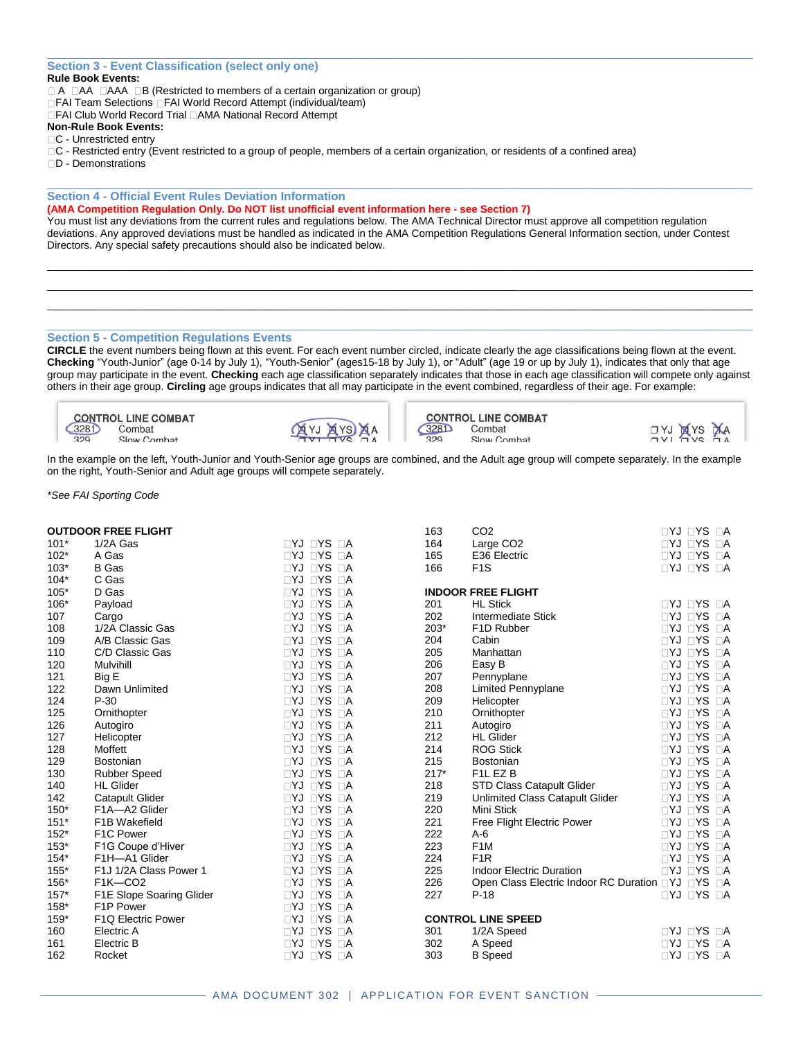## **Section 3 - Event Classification (select only one)**

## **Rule Book Events:**

 $\Box$  A  $\Box$ AA  $\Box$ B (Restricted to members of a certain organization or group) □FAI Team Selections □FAI World Record Attempt (individual/team) □FAI Club World Record Trial □AMA National Record Attempt **Non-Rule Book Events:**

- C Unrestricted entry
- C Restricted entry (Event restricted to a group of people, members of a certain organization, or residents of a confined area)
- D Demonstrations

## **Section 4 - Official Event Rules Deviation Information**

**(AMA Competition Regulation Only. Do NOT list unofficial event information here - see Section 7)**

You must list any deviations from the current rules and regulations below. The AMA Technical Director must approve all competition regulation deviations. Any approved deviations must be handled as indicated in the AMA Competition Regulations General Information section, under Contest Directors. Any special safety precautions should also be indicated below.

 $\_$  , and the state of the state of the state of the state of the state of the state of the state of the state of the state of the state of the state of the state of the state of the state of the state of the state of the

\_\_\_\_\_\_\_\_\_\_\_\_\_\_\_\_\_\_\_\_\_\_\_\_\_\_\_\_\_\_\_\_\_\_\_\_\_\_\_\_\_\_\_\_\_\_\_\_\_\_\_\_\_\_\_\_\_\_\_\_\_\_\_\_\_\_\_\_\_\_\_\_\_\_\_\_\_\_\_\_\_\_\_\_\_\_\_\_\_\_\_\_\_\_\_\_\_\_\_\_\_\_\_\_\_\_\_\_\_\_\_\_\_\_\_\_\_\_\_\_\_ \_\_\_\_\_\_\_\_\_\_\_\_\_\_\_\_\_\_\_\_\_\_\_\_\_\_\_\_\_\_\_\_\_\_\_\_\_\_\_\_\_\_\_\_\_\_\_\_\_\_\_\_\_\_\_\_\_\_\_\_\_\_\_\_\_\_\_\_\_\_\_\_\_\_\_\_\_\_\_\_\_\_\_\_\_\_\_\_\_\_\_\_\_\_\_\_\_\_\_\_\_\_\_\_\_\_\_\_\_\_\_\_\_\_\_\_\_\_\_\_\_ \_\_\_\_\_\_\_\_\_\_\_\_\_\_\_\_\_\_\_\_\_\_\_\_\_\_\_\_\_\_\_\_\_\_\_\_\_\_\_\_\_\_\_\_\_\_\_\_\_\_\_\_\_\_\_\_\_\_\_\_\_\_\_\_\_\_\_\_\_\_\_\_\_\_\_\_\_\_\_\_\_\_\_\_\_\_\_\_\_\_\_\_\_\_\_\_\_\_\_\_\_\_\_\_\_\_\_\_\_\_\_\_\_\_\_\_\_\_\_\_\_  $\_$  , and the set of the set of the set of the set of the set of the set of the set of the set of the set of the set of the set of the set of the set of the set of the set of the set of the set of the set of the set of th

 $\_$  , and the state of the state of the state of the state of the state of the state of the state of the state of the state of the state of the state of the state of the state of the state of the state of the state of the

## **Section 5 - Competition Regulations Events**

**CIRCLE** the event numbers being flown at this event. For each event number circled, indicate clearly the age classifications being flown at the event. **Checking** "Youth-Junior" (age 0-14 by July 1), "Youth-Senior" (ages15-18 by July 1), or "Adult" (age 19 or up by July 1), indicates that only that age group may participate in the event. **Checking** each age classification separately indicates that those in each age classification will compete only against others in their age group. **Circling** age groups indicates that all may participate in the event combined, regardless of their age. For example:





**CONTROL LINE COMBAT**  $(3281)$ Combat Slow Combat



In the example on the left, Youth-Junior and Youth-Senior age groups are combined, and the Adult age group will compete separately. In the example on the right, Youth-Senior and Adult age groups will compete separately.

*\*See FAI Sporting Code*

|        | <b>OUTDOOR FREE FLIGHT</b>             |                              | 163    | CO <sub>2</sub>                                   | $\Box YJ \Box YS \Box A$     |  |
|--------|----------------------------------------|------------------------------|--------|---------------------------------------------------|------------------------------|--|
| $101*$ | 1/2A Gas                               | $\Box YJ \Box YS \Box A$     | 164    | Large CO <sub>2</sub>                             | $\Box YJ \Box YS \Box A$     |  |
| $102*$ | A Gas                                  | $\Box YJ$ $\Box YS$ $\Box A$ | 165    | E36 Electric                                      | $\Box YJ$ $\Box YS$ $\Box A$ |  |
| $103*$ | <b>B</b> Gas                           | $\Box YJ \Box YS \Box A$     | 166    | F <sub>1</sub> S                                  | □YJ □YS □A                   |  |
| $104*$ | C Gas                                  | $\Box YJ \Box YS \Box A$     |        |                                                   |                              |  |
| $105*$ | D Gas                                  | $\Box YJ$ $\Box YS$ $\Box A$ |        | <b>INDOOR FREE FLIGHT</b>                         |                              |  |
| $106*$ | Payload                                | $\Box YJ$ $\Box YS$ $\Box A$ | 201    | <b>HL Stick</b>                                   | □YJ □YS □A                   |  |
| 107    | Cargo                                  | $\Box YJ \Box YS \Box A$     | 202    | <b>Intermediate Stick</b>                         | □YJ □YS □A                   |  |
| 108    | 1/2A Classic Gas                       | $\Box YJ$ $\Box YS$ $\Box A$ | $203*$ | F <sub>1</sub> D Rubber                           | $\Box YJ$ $\Box YS$ $\Box A$ |  |
| 109    | A/B Classic Gas                        | $\Box YJ$ $\Box YS$ $\Box A$ | 204    | Cabin                                             | <b>DYJ DYS DA</b>            |  |
| 110    | C/D Classic Gas                        | $\Box YJ \Box YS \Box A$     | 205    | Manhattan                                         | $\Box YJ$ $\Box YS$ $\Box A$ |  |
| 120    | Mulvihill                              | $\Box YJ$ $\Box YS$ $\Box A$ | 206    | Easy B                                            | □YJ □YS □A                   |  |
| 121    | Big E                                  | $\Box YJ \Box YS \Box A$     | 207    | Pennyplane                                        | □YJ □YS □A                   |  |
| 122    | Dawn Unlimited                         | $\Box YJ \Box YS \Box A$     | 208    | <b>Limited Pennyplane</b>                         | □YJ □YS □A                   |  |
| 124    | $P-30$                                 | $\Box YJ \Box YS \Box A$     | 209    | Helicopter                                        | <b>DYJ DYS DA</b>            |  |
| 125    | Ornithopter                            | $\Box YJ \Box YS \Box A$     | 210    | Ornithopter                                       | $\Box YJ \Box YS \Box A$     |  |
| 126    | Autogiro                               | $\Box YJ$ $\Box YS$ $\Box A$ | 211    | Autogiro                                          | $\Box YJ$ $\Box YS$ $\Box A$ |  |
| 127    | Helicopter                             | $\Box YJ \Box YS \Box A$     | 212    | <b>HL</b> Glider                                  | $\Box YJ \Box YS \Box A$     |  |
| 128    | Moffett                                | $\Box YJ$ $\Box YS$ $\Box A$ | 214    | <b>ROG Stick</b>                                  | $\Box YJ$ $\Box YS$ $\Box A$ |  |
| 129    | <b>Bostonian</b>                       | $\Box YJ$ $\Box YS$ $\Box A$ | 215    | Bostonian                                         | $\Box YJ \Box YS \Box A$     |  |
| 130    | <b>Rubber Speed</b>                    | $\Box YJ \Box YS \Box A$     | $217*$ | F <sub>1</sub> L EZ <sub>B</sub>                  | <b>DYJ DYS DA</b>            |  |
| 140    | <b>HL Glider</b>                       | $\Box YJ$ $\Box YS$ $\Box A$ | 218    | <b>STD Class Catapult Glider</b>                  | $\Box YJ$ $\Box YS$ $\Box A$ |  |
| 142    | <b>Catapult Glider</b>                 | $\Box YJ$ $\Box YS$ $\Box A$ | 219    | Unlimited Class Catapult Glider                   | $\Box YJ$ $\Box YS$ $\Box A$ |  |
| $150*$ | F1A-A2 Glider                          | $\Box YJ \Box YS \Box A$     | 220    | Mini Stick                                        | $\Box YJ \Box YS \Box A$     |  |
| $151*$ | F <sub>1</sub> B Wakefield             | $\Box YJ \Box YS \Box A$     | 221    | Free Flight Electric Power                        | □YJ □YS □A                   |  |
| $152*$ | F1C Power                              | $\Box YJ$ $\Box YS$ $\Box A$ | 222    | $A-6$                                             | $\Box YJ$ $\Box YS$ $\Box A$ |  |
| $153*$ | F1G Coupe d'Hiver                      | $\Box YJ \Box YS \Box A$     | 223    | F <sub>1</sub> M                                  | $\Box YJ \Box YS \Box A$     |  |
| $154*$ | F <sub>1</sub> H-A <sub>1</sub> Glider | $\Box YJ$ $\Box YS$ $\Box A$ | 224    | F <sub>1</sub> R                                  | $\Box YJ$ $\Box YS$ $\Box A$ |  |
| 155*   | F1J 1/2A Class Power 1                 | $\Box YJ$ $\Box YS$ $\Box A$ | 225    | Indoor Electric Duration                          | □YJ □YS □A                   |  |
| 156*   | F1K-CO2                                | $\Box YJ$ $\Box YS$ $\Box A$ | 226    | Open Class Electric Indoor RC Duration DYJ DYS DA |                              |  |
| $157*$ | F1E Slope Soaring Glider               | $\Box YJ$ $\Box YS$ $\Box A$ | 227    | $P-18$                                            | <b>DYJ DYS DA</b>            |  |
| $158*$ | F <sub>1</sub> P Power                 | $\Box YJ \Box YS \Box A$     |        |                                                   |                              |  |
| 159*   | F1Q Electric Power                     | $\Box YJ$ $\Box YS$ $\Box A$ |        | <b>CONTROL LINE SPEED</b>                         |                              |  |
| 160    | Electric A                             | $\Box YJ$ $\Box YS$ $\Box A$ | 301    | 1/2A Speed                                        | $\Box YJ$ $\Box YS$ $\Box A$ |  |
| 161    | Electric B                             | $\Box YJ \Box YS \Box A$     | 302    | A Speed                                           | $\Box YJ$ $\Box YS$ $\Box A$ |  |
| 162    | Rocket                                 | $\Box YJ$ $\Box YS$ $\Box A$ | 303    | <b>B</b> Speed                                    | $\Box YJ$ $\Box YS$ $\Box A$ |  |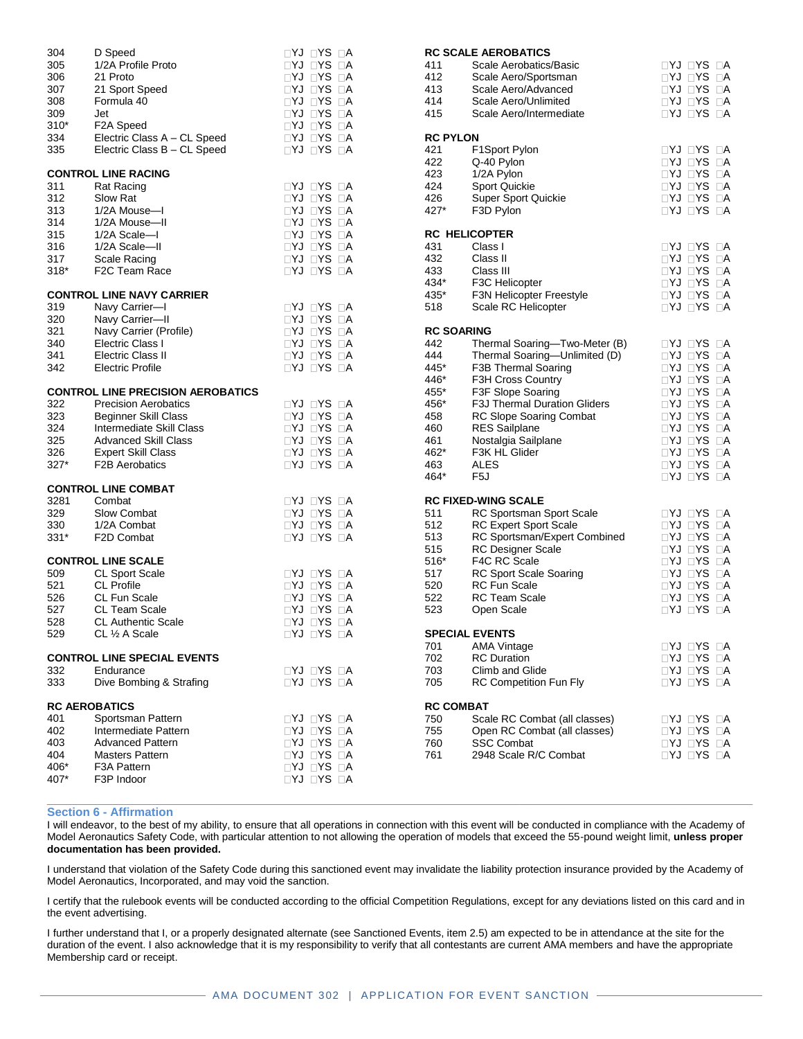| 304    | D Speed                                            | □YJ □YS □A                   |                  | <b>RC SCALE AEROBATICS</b>                             |                                                              |
|--------|----------------------------------------------------|------------------------------|------------------|--------------------------------------------------------|--------------------------------------------------------------|
| 305    | 1/2A Profile Proto                                 | $\Box YJ \Box YS \Box A$     | 411              | Scale Aerobatics/Basic                                 | $\Box YJ$ $\Box YS$ $\Box A$                                 |
| 306    | 21 Proto                                           | $\Box YJ \Box YS \Box A$     | 412              | Scale Aero/Sportsman                                   | $\Box YJ \Box YS \Box A$                                     |
| 307    | 21 Sport Speed                                     | □YJ □YS □A                   | 413              | Scale Aero/Advanced                                    | $\Box YJ$ $\Box YS$ $\Box A$                                 |
| 308    | Formula 40                                         | □YJ □YS □A                   | 414              | Scale Aero/Unlimited                                   | $\Box YJ$ $\Box YS$ $\Box A$                                 |
| 309    | Jet                                                | □YJ □YS □A                   | 415              | Scale Aero/Intermediate                                | $\Box YJ$ $\Box YS$ $\Box A$                                 |
| $310*$ | F2A Speed                                          | $\Box YJ \Box YS \Box A$     |                  |                                                        |                                                              |
| 334    | Electric Class A - CL Speed                        | $\Box YJ \Box YS \Box A$     | <b>RC PYLON</b>  |                                                        |                                                              |
| 335    | Electric Class B - CL Speed                        | $\Box YJ \Box YS \Box A$     | 421              | F1Sport Pylon                                          | □YJ □YS □A                                                   |
|        |                                                    |                              | 422              | Q-40 Pylon                                             | $\Box YJ$ $\Box YS$ $\Box A$                                 |
|        | <b>CONTROL LINE RACING</b>                         |                              | 423              | 1/2A Pylon                                             | $\Box YJ$ $\Box YS$ $\Box A$                                 |
| 311    | <b>Rat Racing</b>                                  | $\Box YJ \Box YS \Box A$     | 424              | <b>Sport Quickie</b>                                   | $\Box YJ$ $\Box YS$ $\Box A$                                 |
| 312    | Slow Rat                                           | <b>DYJ DYS DA</b>            | 426              | <b>Super Sport Quickie</b>                             | □YJ □YS □A                                                   |
| 313    | 1/2A Mouse-I                                       | $\Box YJ \Box YS \Box A$     | 427*             | F3D Pylon                                              | $\Box YJ$ $\Box YS$ $\Box A$                                 |
| 314    | 1/2A Mouse-II                                      | $\Box YJ \Box YS \Box A$     |                  |                                                        |                                                              |
| 315    | 1/2A Scale-I                                       | $\Box YJ \Box YS \Box A$     |                  | <b>RC HELICOPTER</b>                                   |                                                              |
| 316    | 1/2A Scale-II                                      | □YJ □YS □A                   | 431              | Class I                                                | □YJ □YS □A                                                   |
| 317    | Scale Racing                                       | □YJ □YS □A                   | 432              | Class II                                               | $\Box YJ \Box YS \Box A$                                     |
| $318*$ | F <sub>2</sub> C Team Race                         | □YJ □YS □A                   | 433              | Class III                                              | <b>OYJ DYS DA</b>                                            |
|        |                                                    |                              | 434*             | F3C Helicopter                                         | $\Box YJ$ $\Box YS$ $\Box A$                                 |
|        | <b>CONTROL LINE NAVY CARRIER</b>                   |                              | 435*             | F3N Helicopter Freestyle                               | $\Box YJ \Box YS \Box A$                                     |
| 319    | Navy Carrier-I                                     | $\Box YJ$ $\Box YS$ $\Box A$ | 518              | Scale RC Helicopter                                    | $\Box YJ$ $\Box YS$ $\Box A$                                 |
| 320    | Navy Carrier-II                                    | $\Box YJ \Box YS \Box A$     |                  |                                                        |                                                              |
| 321    | Navy Carrier (Profile)                             | $\Box YJ \Box YS \Box A$     |                  | <b>RC SOARING</b>                                      |                                                              |
| 340    | Electric Class I                                   | $\Box YJ \Box YS \Box A$     | 442              | Thermal Soaring-Two-Meter (B)                          | $\Box YJ$ $\Box YS$ $\Box A$                                 |
| 341    | Electric Class II                                  | $\Box YJ$ $\Box YS$ $\Box A$ | 444              | Thermal Soaring-Unlimited (D)                          | $\Box YJ \Box YS \Box A$                                     |
| 342    | <b>Electric Profile</b>                            | $\Box YJ \Box YS \Box A$     | 445*             | F3B Thermal Soaring                                    | $\Box YJ$ $\Box YS$ $\Box A$                                 |
|        |                                                    |                              | 446*             | F3H Cross Country                                      | $\Box YJ$ $\Box YS$ $\Box A$                                 |
|        | <b>CONTROL LINE PRECISION AEROBATICS</b>           |                              | 455*             | F3F Slope Soaring                                      | $\Box YJ \Box YS \Box A$                                     |
| 322    | <b>Precision Aerobatics</b>                        | $\Box YJ \Box YS \Box A$     | 456*             | F3J Thermal Duration Gliders                           | $\Box YJ$ $\Box YS$ $\Box A$                                 |
| 323    | <b>Beginner Skill Class</b>                        | $\Box YJ \Box YS \Box A$     | 458              |                                                        | □YJ □YS □A                                                   |
| 324    | Intermediate Skill Class                           | $\Box YJ \Box YS \Box A$     | 460              | <b>RC Slope Soaring Combat</b><br><b>RES Sailplane</b> | $\Box YJ$ $\Box YS$ $\Box A$                                 |
| 325    |                                                    | $\Box YJ$ $\Box YS$ $\Box A$ |                  |                                                        | $\Box YJ$ $\Box YS$ $\Box A$                                 |
| 326    | <b>Advanced Skill Class</b>                        | $\Box YJ \Box YS \Box A$     | 461<br>462*      | Nostalgia Sailplane<br>F3K HL Glider                   |                                                              |
| 327*   | <b>Expert Skill Class</b><br><b>F2B Aerobatics</b> | $\Box YJ$ $\Box YS$ $\Box A$ | 463              | <b>ALES</b>                                            | $\Box YJ \Box YS \Box A$<br>$\Box YJ$ $\Box YS$ $\Box A$     |
|        |                                                    |                              | 464*             | F5J                                                    | $\Box YJ$ $\Box YS$ $\Box A$                                 |
|        | <b>CONTROL LINE COMBAT</b>                         |                              |                  |                                                        |                                                              |
| 3281   | Combat                                             | $\Box YJ \Box YS \Box A$     |                  | <b>RC FIXED-WING SCALE</b>                             |                                                              |
| 329    | Slow Combat                                        | $\Box YJ \Box YS \Box A$     | 511              | RC Sportsman Sport Scale                               | $\Box YJ \Box YS \Box A$                                     |
|        |                                                    | $\Box YJ$ $\Box YS$ $\Box A$ | 512              | <b>RC Expert Sport Scale</b>                           | <b>OYJ DYS DA</b>                                            |
| 330    | 1/2A Combat                                        | <b>DYJ DYS DA</b>            | 513              | RC Sportsman/Expert Combined                           | $\Box YJ \Box YS \Box A$                                     |
| $331*$ | F2D Combat                                         |                              |                  |                                                        |                                                              |
|        |                                                    |                              | 515              | <b>RC Designer Scale</b>                               | $\Box YJ$ $\Box YS$ $\Box A$                                 |
| 509    | <b>CONTROL LINE SCALE</b><br>CL Sport Scale        | $\Box YJ \Box YS \Box A$     | 516*<br>517      | F4C RC Scale<br>RC Sport Scale Soaring                 | $\Box YJ$ $\Box YS$ $\Box A$<br>$\Box YJ$ $\Box YS$ $\Box A$ |
|        |                                                    |                              |                  |                                                        | <b>OYJ DYS DA</b>                                            |
| 521    | <b>CL Profile</b>                                  | □YJ □YS □A                   | 520              | <b>RC Fun Scale</b>                                    |                                                              |
| 526    | CL Fun Scale                                       | $\Box YJ$ $\Box YS$ $\Box A$ | 522              | <b>RC Team Scale</b>                                   | $\Box YJ$ $\Box YS$ $\Box A$                                 |
| 527    | <b>CL Team Scale</b>                               | $\Box YJ$ $\Box YS$ $\Box A$ | 523              | Open Scale                                             | $\Box YJ$ $\Box YS$ $\Box A$                                 |
| 528    | <b>CL Authentic Scale</b>                          | $\Box YJ$ $\Box YS$ $\Box A$ |                  |                                                        |                                                              |
| 529    | CL 1/2 A Scale                                     | <b>DYJ DYS DA</b>            |                  | <b>SPECIAL EVENTS</b>                                  |                                                              |
|        |                                                    |                              | 701              | <b>AMA Vintage</b>                                     | <b>TYJ TYS TA</b>                                            |
|        | <b>CONTROL LINE SPECIAL EVENTS</b>                 |                              | 702              | <b>RC</b> Duration                                     | $\Box YJ \Box YS \Box A$                                     |
| 332    | Endurance                                          | $\Box YJ \Box YS \Box A$     | 703              | Climb and Glide                                        | $\Box YJ \Box YS \Box A$                                     |
| 333    | Dive Bombing & Strafing                            | <b>DYJ DYS DA</b>            | 705              | RC Competition Fun Fly                                 | $\Box YJ$ $\Box YS$ $\Box A$                                 |
|        | <b>RC AEROBATICS</b>                               |                              | <b>RC COMBAT</b> |                                                        |                                                              |
| 401    | Sportsman Pattern                                  | $\Box YJ \Box YS \Box A$     | 750              | Scale RC Combat (all classes)                          | $\Box YJ$ $\Box YS$ $\Box A$                                 |
| 402    | Intermediate Pattern                               | $\Box YJ$ $\Box YS$ $\Box A$ | 755              | Open RC Combat (all classes)                           | $\Box YJ \Box YS \Box A$                                     |
| 403    | <b>Advanced Pattern</b>                            | □YJ □YS □A                   | 760              | <b>SSC Combat</b>                                      | $\Box YJ$ $\Box YS$ $\Box A$                                 |
| 404    | <b>Masters Pattern</b>                             | $\Box YJ$ $\Box YS$ $\Box A$ | 761              | 2948 Scale R/C Combat                                  | $\Box YJ \Box YS \Box A$                                     |
| 406*   | F3A Pattern                                        | $\Box YJ \Box YS \Box A$     |                  |                                                        |                                                              |
| 407*   | F3P Indoor                                         | $\Box YJ \Box YS \Box A$     |                  |                                                        |                                                              |
|        |                                                    |                              |                  |                                                        |                                                              |

### **Section 6 - Affirmation**

I will endeavor, to the best of my ability, to ensure that all operations in connection with this event will be conducted in compliance with the Academy of Model Aeronautics Safety Code, with particular attention to not allowing the operation of models that exceed the 55-pound weight limit, **unless proper documentation has been provided.**

 $\_$  , and the state of the state of the state of the state of the state of the state of the state of the state of the state of the state of the state of the state of the state of the state of the state of the state of the

I understand that violation of the Safety Code during this sanctioned event may invalidate the liability protection insurance provided by the Academy of Model Aeronautics, Incorporated, and may void the sanction.

I certify that the rulebook events will be conducted according to the official Competition Regulations, except for any deviations listed on this card and in the event advertising.

I further understand that I, or a properly designated alternate (see Sanctioned Events, item 2.5) am expected to be in attendance at the site for the duration of the event. I also acknowledge that it is my responsibility to verify that all contestants are current AMA members and have the appropriate Membership card or receipt.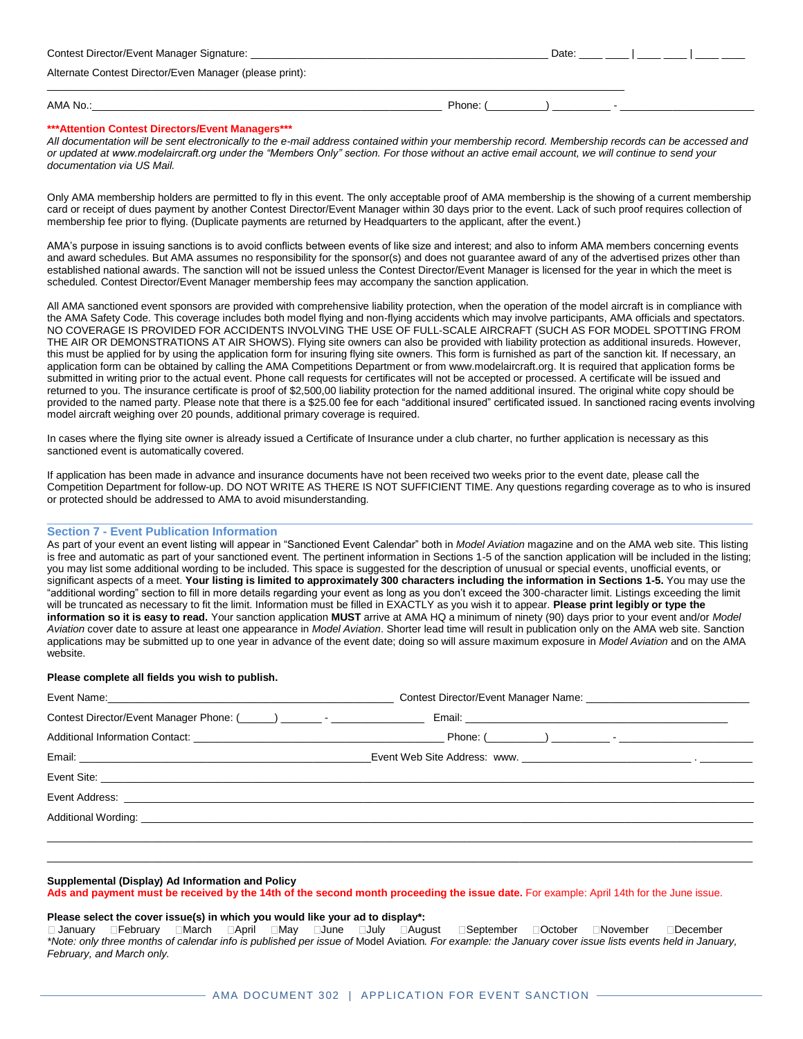| Contest Director/Event Manager Signature:               |        | Date: |  |
|---------------------------------------------------------|--------|-------|--|
| Alternate Contest Director/Even Manager (please print): |        |       |  |
| AMA No.:                                                | Phone: |       |  |

#### **\*\*\*Attention Contest Directors/Event Managers\*\*\***

*All documentation will be sent electronically to the e-mail address contained within your membership record. Membership records can be accessed and or updated at www.modelaircraft.org under the "Members Only" section. For those without an active email account, we will continue to send your documentation via US Mail.*

Only AMA membership holders are permitted to fly in this event. The only acceptable proof of AMA membership is the showing of a current membership card or receipt of dues payment by another Contest Director/Event Manager within 30 days prior to the event. Lack of such proof requires collection of membership fee prior to flying. (Duplicate payments are returned by Headquarters to the applicant, after the event.)

AMA's purpose in issuing sanctions is to avoid conflicts between events of like size and interest; and also to inform AMA members concerning events and award schedules. But AMA assumes no responsibility for the sponsor(s) and does not guarantee award of any of the advertised prizes other than established national awards. The sanction will not be issued unless the Contest Director/Event Manager is licensed for the year in which the meet is scheduled. Contest Director/Event Manager membership fees may accompany the sanction application.

All AMA sanctioned event sponsors are provided with comprehensive liability protection, when the operation of the model aircraft is in compliance with the AMA Safety Code. This coverage includes both model flying and non-flying accidents which may involve participants, AMA officials and spectators. NO COVERAGE IS PROVIDED FOR ACCIDENTS INVOLVING THE USE OF FULL-SCALE AIRCRAFT (SUCH AS FOR MODEL SPOTTING FROM THE AIR OR DEMONSTRATIONS AT AIR SHOWS). Flying site owners can also be provided with liability protection as additional insureds. However, this must be applied for by using the application form for insuring flying site owners. This form is furnished as part of the sanction kit. If necessary, an application form can be obtained by calling the AMA Competitions Department or from www.modelaircraft.org. It is required that application forms be submitted in writing prior to the actual event. Phone call requests for certificates will not be accepted or processed. A certificate will be issued and returned to you. The insurance certificate is proof of \$2,500,00 liability protection for the named additional insured. The original white copy should be provided to the named party. Please note that there is a \$25.00 fee for each "additional insured" certificated issued. In sanctioned racing events involving model aircraft weighing over 20 pounds, additional primary coverage is required.

In cases where the flying site owner is already issued a Certificate of Insurance under a club charter, no further application is necessary as this sanctioned event is automatically covered.

If application has been made in advance and insurance documents have not been received two weeks prior to the event date, please call the Competition Department for follow-up. DO NOT WRITE AS THERE IS NOT SUFFICIENT TIME. Any questions regarding coverage as to who is insured or protected should be addressed to AMA to avoid misunderstanding.

 $\_$  , and the state of the state of the state of the state of the state of the state of the state of the state of the state of the state of the state of the state of the state of the state of the state of the state of the

#### **Section 7 - Event Publication Information**

As part of your event an event listing will appear in "Sanctioned Event Calendar" both in Model Aviation magazine and on the AMA web site. This listing is free and automatic as part of your sanctioned event. The pertinent information in Sections 1-5 of the sanction application will be included in the listing; you may list some additional wording to be included. This space is suggested for the description of unusual or special events, unofficial events, or significant aspects of a meet. **Your listing is limited to approximately 300 characters including the information in Sections 1-5.** You may use the "additional wording" section to fill in more details regarding your event as long as you don't exceed the 300-character limit. Listings exceeding the limit will be truncated as necessary to fit the limit. Information must be filled in EXACTLY as you wish it to appear. **Please print legibly or type the information so it is easy to read.** Your sanction application **MUST** arrive at AMA HQ a minimum of ninety (90) days prior to your event and/or *Model Aviation* cover date to assure at least one appearance in *Model Aviation*. Shorter lead time will result in publication only on the AMA web site. Sanction applications may be submitted up to one year in advance of the event date; doing so will assure maximum exposure in *Model Aviation* and on the AMA website.

## **Please complete all fields you wish to publish.**

#### **Supplemental (Display) Ad Information and Policy**

Ads and payment must be received by the 14th of the second month proceeding the issue date. For example: April 14th for the June issue.

#### **Please select the cover issue(s) in which you would like your ad to display\*:**

January February March April May June July August September October November December *\*Note: only three months of calendar info is published per issue of* Model Aviation*. For example: the January cover issue lists events held in January, February, and March only.*